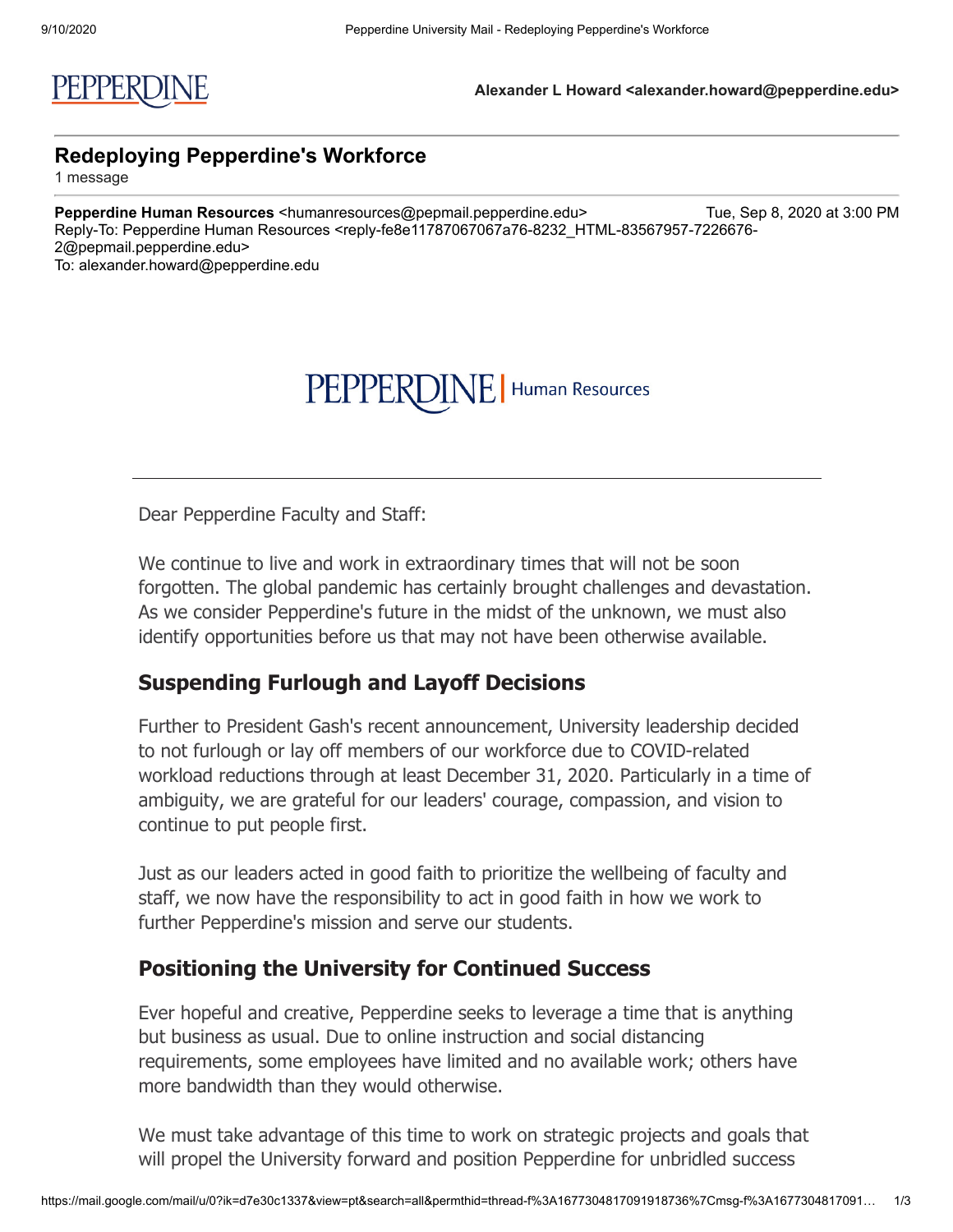# PEPPERDINE | Human Resources

Dear Pepperdine Faculty and Staff:

We continue to live and work in extraordinary times that will not be soon forgotten. The global pandemic has certainly brought challenges and devastation. As we consider Pepperdine's future in the midst of the unknown, we must also identify opportunities before us that may not have been otherwise available.

### **Suspending Furlough and Layoff Decisions**

Further to President Gash's recent announcement, University leadership decided to not furlough or lay off members of our workforce due to COVID-related workload reductions through at least December 31, 2020. Particularly in a time of ambiguity, we are grateful for our leaders' courage, compassion, and vision to continue to put people first.

Just as our leaders acted in good faith to prioritize the wellbeing of faculty and staff, we now have the responsibility to act in good faith in how we work to further Pepperdine's mission and serve our students.

#### **Positioning the University for Continued Success**

Ever hopeful and creative, Pepperdine seeks to leverage a time that is anything but business as usual. Due to online instruction and social distancing requirements, some employees have limited and no available work; others have more bandwidth than they would otherwise.

We must take advantage of this time to work on strategic projects and goals that will propel the University forward and position Pepperdine for unbridled success